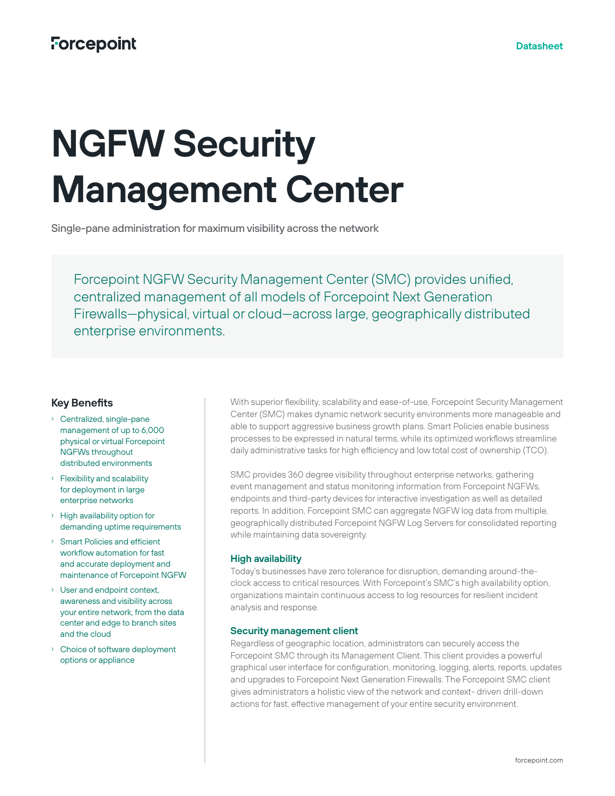# **Forcepoint**

# **NGFW Security Management Center**

Single-pane administration for maximum visibility across the network

Forcepoint NGFW Security Management Center (SMC) provides unified, centralized management of all models of Forcepoint Next Generation Firewalls—physical, virtual or cloud—across large, geographically distributed enterprise environments.

## **Key Benefits**

- › Centralized, single-pane management of up to 6,000 physical or virtual Forcepoint NGFWs throughout distributed environments
- › Flexibility and scalability for deployment in large enterprise networks
- › High availability option for demanding uptime requirements
- › Smart Policies and efficient workflow automation for fast and accurate deployment and maintenance of Forcepoint NGFW
- › User and endpoint context, awareness and visibility across your entire network, from the data center and edge to branch sites and the cloud
- › Choice of software deployment options or appliance

With superior flexibility, scalability and ease-of-use, Forcepoint Security Management Center (SMC) makes dynamic network security environments more manageable and able to support aggressive business growth plans. Smart Policies enable business processes to be expressed in natural terms, while its optimized workflows streamline daily administrative tasks for high efficiency and low total cost of ownership (TCO).

SMC provides 360 degree visibility throughout enterprise networks, gathering event management and status monitoring information from Forcepoint NGFWs, endpoints and third-party devices for interactive investigation as well as detailed reports. In addition, Forcepoint SMC can aggregate NGFW log data from multiple, geographically distributed Forcepoint NGFW Log Servers for consolidated reporting while maintaining data sovereignty.

#### **High availability**

Today's businesses have zero tolerance for disruption, demanding around-theclock access to critical resources. With Forcepoint's SMC's high availability option, organizations maintain continuous access to log resources for resilient incident analysis and response.

#### **Security management client**

Regardless of geographic location, administrators can securely access the Forcepoint SMC through its Management Client. This client provides a powerful graphical user interface for configuration, monitoring, logging, alerts, reports, updates and upgrades to Forcepoint Next Generation Firewalls. The Forcepoint SMC client gives administrators a holistic view of the network and context- driven drill-down actions for fast, effective management of your entire security environment.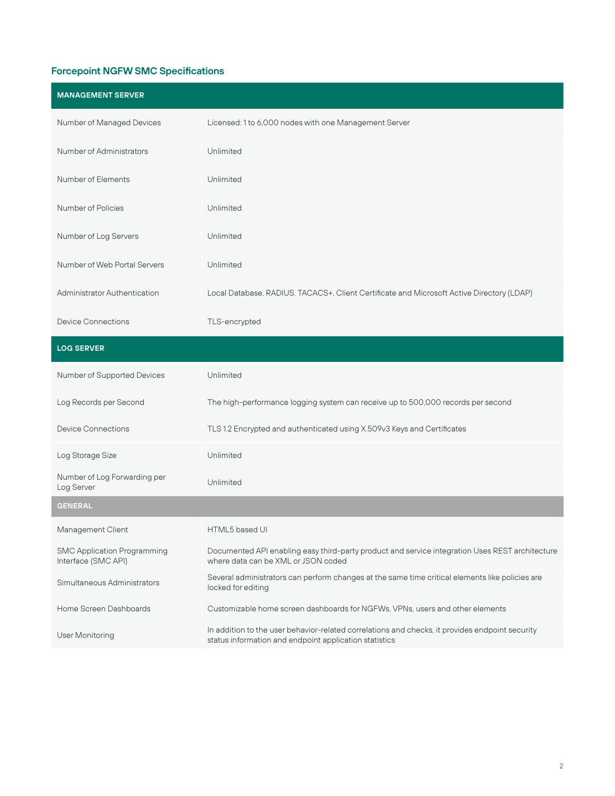# **Forcepoint NGFW SMC Specifications**

| <b>MANAGEMENT SERVER</b>                                  |                                                                                                                                                           |
|-----------------------------------------------------------|-----------------------------------------------------------------------------------------------------------------------------------------------------------|
| Number of Managed Devices                                 | Licensed: 1 to 6,000 nodes with one Management Server                                                                                                     |
| <b>Number of Administrators</b>                           | Unlimited                                                                                                                                                 |
| Number of Elements                                        | Unlimited                                                                                                                                                 |
| Number of Policies                                        | Unlimited                                                                                                                                                 |
| Number of Log Servers                                     | Unlimited                                                                                                                                                 |
| Number of Web Portal Servers                              | Unlimited                                                                                                                                                 |
| <b>Administrator Authentication</b>                       | Local Database, RADIUS. TACACS+, Client Certificate and Microsoft Active Directory (LDAP)                                                                 |
| <b>Device Connections</b>                                 | TLS-encrypted                                                                                                                                             |
| <b>LOG SERVER</b>                                         |                                                                                                                                                           |
| Number of Supported Devices                               | Unlimited                                                                                                                                                 |
| Log Records per Second                                    | The high-performance logging system can receive up to 500,000 records per second                                                                          |
| <b>Device Connections</b>                                 | TLS 1.2 Encrypted and authenticated using X.509v3 Keys and Certificates                                                                                   |
| Log Storage Size                                          | Unlimited                                                                                                                                                 |
| Number of Log Forwarding per<br>Log Server                | Unlimited                                                                                                                                                 |
| <b>GENERAL</b>                                            |                                                                                                                                                           |
| Management Client                                         | HTML5 based UI                                                                                                                                            |
| <b>SMC Application Programming</b><br>Interface (SMC API) | Documented API enabling easy third-party product and service integration Uses REST architecture<br>where data can be XML or JSON coded                    |
| Simultaneous Administrators                               | Several administrators can perform changes at the same time critical elements like policies are<br>locked for editing                                     |
| Home Screen Dashboards                                    | Customizable home screen dashboards for NGFWs, VPNs, users and other elements                                                                             |
| User Monitoring                                           | In addition to the user behavior-related correlations and checks, it provides endpoint security<br>status information and endpoint application statistics |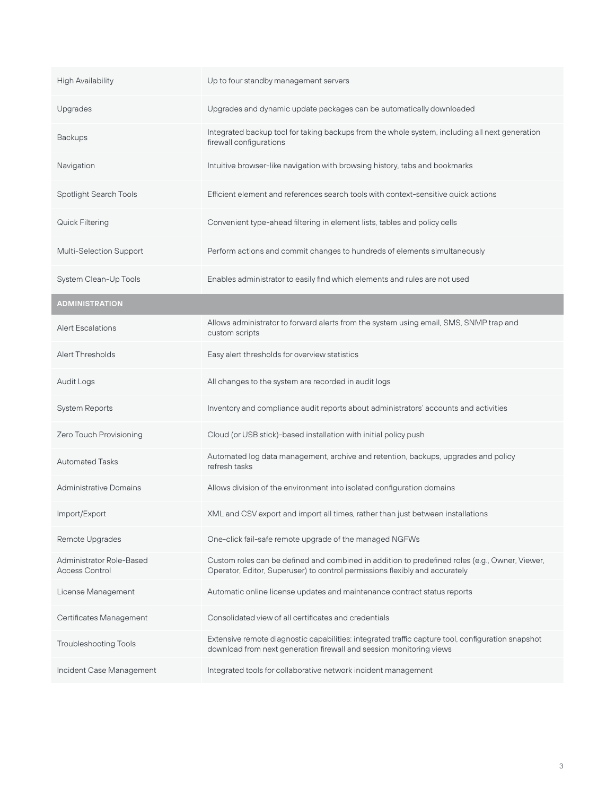| <b>High Availability</b>                                 | Up to four standby management servers                                                                                                                                         |
|----------------------------------------------------------|-------------------------------------------------------------------------------------------------------------------------------------------------------------------------------|
| Upgrades                                                 | Upgrades and dynamic update packages can be automatically downloaded                                                                                                          |
| <b>Backups</b>                                           | Integrated backup tool for taking backups from the whole system, including all next generation<br>firewall configurations                                                     |
| Navigation                                               | Intuitive browser-like navigation with browsing history, tabs and bookmarks                                                                                                   |
| Spotlight Search Tools                                   | Efficient element and references search tools with context-sensitive quick actions                                                                                            |
| Quick Filtering                                          | Convenient type-ahead filtering in element lists, tables and policy cells                                                                                                     |
| Multi-Selection Support                                  | Perform actions and commit changes to hundreds of elements simultaneously                                                                                                     |
| System Clean-Up Tools                                    | Enables administrator to easily find which elements and rules are not used                                                                                                    |
| <b>ADMINISTRATION</b>                                    |                                                                                                                                                                               |
| <b>Alert Escalations</b>                                 | Allows administrator to forward alerts from the system using email, SMS, SNMP trap and<br>custom scripts                                                                      |
| Alert Thresholds                                         | Easy alert thresholds for overview statistics                                                                                                                                 |
| Audit Logs                                               | All changes to the system are recorded in audit logs                                                                                                                          |
| System Reports                                           | Inventory and compliance audit reports about administrators' accounts and activities                                                                                          |
| Zero Touch Provisioning                                  | Cloud (or USB stick)-based installation with initial policy push                                                                                                              |
| <b>Automated Tasks</b>                                   | Automated log data management, archive and retention, backups, upgrades and policy<br>refresh tasks                                                                           |
| <b>Administrative Domains</b>                            | Allows division of the environment into isolated configuration domains                                                                                                        |
| Import/Export                                            | XML and CSV export and import all times, rather than just between installations                                                                                               |
| Remote Upgrades                                          | One-click fail-safe remote upgrade of the managed NGFWs                                                                                                                       |
| <b>Administrator Role-Based</b><br><b>Access Control</b> | Custom roles can be defined and combined in addition to predefined roles (e.g., Owner, Viewer,<br>Operator, Editor, Superuser) to control permissions flexibly and accurately |
| License Management                                       | Automatic online license updates and maintenance contract status reports                                                                                                      |
| Certificates Management                                  | Consolidated view of all certificates and credentials                                                                                                                         |
| <b>Troubleshooting Tools</b>                             | Extensive remote diagnostic capabilities: integrated traffic capture tool, configuration snapshot<br>download from next generation firewall and session monitoring views      |
| Incident Case Management                                 | Integrated tools for collaborative network incident management                                                                                                                |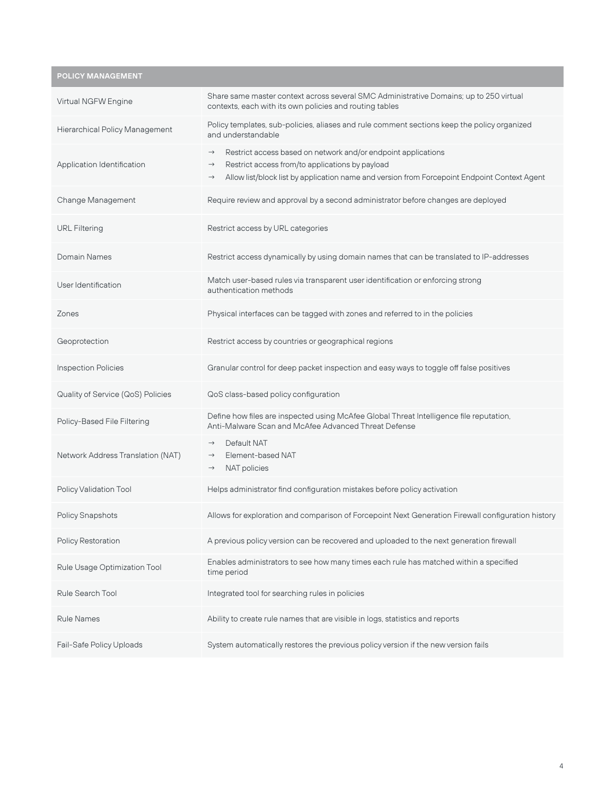**POLICY MANAGEMENT**

| Virtual NGFW Engine                   | Share same master context across several SMC Administrative Domains; up to 250 virtual<br>contexts, each with its own policies and routing tables                                                                                                                   |
|---------------------------------------|---------------------------------------------------------------------------------------------------------------------------------------------------------------------------------------------------------------------------------------------------------------------|
| <b>Hierarchical Policy Management</b> | Policy templates, sub-policies, aliases and rule comment sections keep the policy organized<br>and understandable                                                                                                                                                   |
| Application Identification            | Restrict access based on network and/or endpoint applications<br>$\rightarrow$<br>Restrict access from/to applications by payload<br>$\rightarrow$<br>Allow list/block list by application name and version from Forcepoint Endpoint Context Agent<br>$\rightarrow$ |
| Change Management                     | Require review and approval by a second administrator before changes are deployed                                                                                                                                                                                   |
| <b>URL Filtering</b>                  | Restrict access by URL categories                                                                                                                                                                                                                                   |
| Domain Names                          | Restrict access dynamically by using domain names that can be translated to IP-addresses                                                                                                                                                                            |
| User Identification                   | Match user-based rules via transparent user identification or enforcing strong<br>authentication methods                                                                                                                                                            |
| Zones                                 | Physical interfaces can be tagged with zones and referred to in the policies                                                                                                                                                                                        |
| Geoprotection                         | Restrict access by countries or geographical regions                                                                                                                                                                                                                |
| <b>Inspection Policies</b>            | Granular control for deep packet inspection and easy ways to toggle off false positives                                                                                                                                                                             |
| Quality of Service (QoS) Policies     | QoS class-based policy configuration                                                                                                                                                                                                                                |
| Policy-Based File Filtering           | Define how files are inspected using McAfee Global Threat Intelligence file reputation,<br>Anti-Malware Scan and McAfee Advanced Threat Defense                                                                                                                     |
| Network Address Translation (NAT)     | Default NAT<br>$\rightarrow$<br>Element-based NAT<br>$\rightarrow$<br>NAT policies<br>$\rightarrow$                                                                                                                                                                 |
| Policy Validation Tool                | Helps administrator find configuration mistakes before policy activation                                                                                                                                                                                            |
| <b>Policy Snapshots</b>               | Allows for exploration and comparison of Forcepoint Next Generation Firewall configuration history                                                                                                                                                                  |
| Policy Restoration                    | A previous policy version can be recovered and uploaded to the next generation firewall                                                                                                                                                                             |
| Rule Usage Optimization Tool          | Enables administrators to see how many times each rule has matched within a specified<br>time period                                                                                                                                                                |
| Rule Search Tool                      | Integrated tool for searching rules in policies                                                                                                                                                                                                                     |
| <b>Rule Names</b>                     | Ability to create rule names that are visible in logs, statistics and reports                                                                                                                                                                                       |
| Fail-Safe Policy Uploads              | System automatically restores the previous policy version if the new version fails                                                                                                                                                                                  |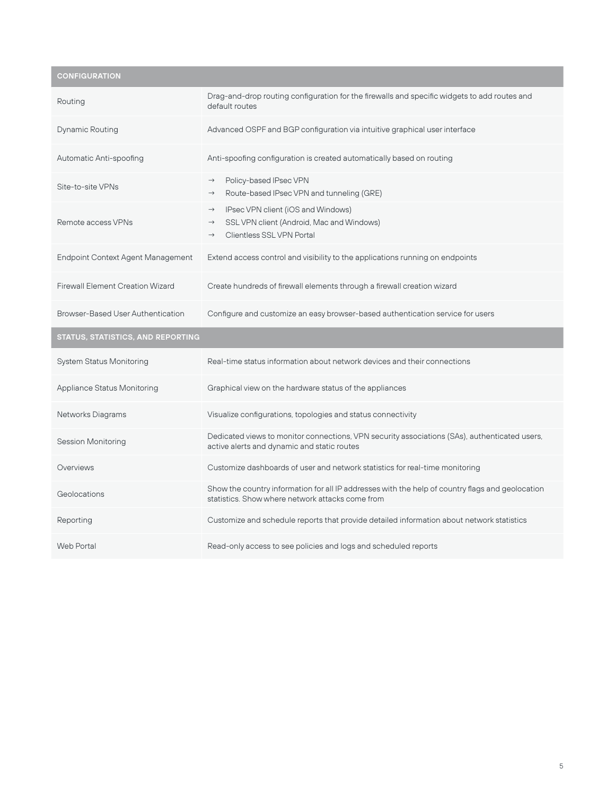**CONFIGURATION**

| Routing                                  | Drag-and-drop routing configuration for the firewalls and specific widgets to add routes and<br>default routes                                                         |
|------------------------------------------|------------------------------------------------------------------------------------------------------------------------------------------------------------------------|
| <b>Dynamic Routing</b>                   | Advanced OSPF and BGP configuration via intuitive graphical user interface                                                                                             |
| Automatic Anti-spoofing                  | Anti-spoofing configuration is created automatically based on routing                                                                                                  |
| Site-to-site VPNs                        | Policy-based IPsec VPN<br>$\rightarrow$<br>Route-based IPsec VPN and tunneling (GRE)<br>$\rightarrow$                                                                  |
| Remote access VPNs                       | IPsec VPN client (iOS and Windows)<br>$\rightarrow$<br>SSL VPN client (Android, Mac and Windows)<br>$\rightarrow$<br><b>Clientless SSL VPN Portal</b><br>$\rightarrow$ |
| <b>Endpoint Context Agent Management</b> | Extend access control and visibility to the applications running on endpoints                                                                                          |
| <b>Firewall Element Creation Wizard</b>  | Create hundreds of firewall elements through a firewall creation wizard                                                                                                |
| <b>Browser-Based User Authentication</b> | Configure and customize an easy browser-based authentication service for users                                                                                         |
|                                          |                                                                                                                                                                        |
| STATUS, STATISTICS, AND REPORTING        |                                                                                                                                                                        |
| <b>System Status Monitoring</b>          | Real-time status information about network devices and their connections                                                                                               |
| <b>Appliance Status Monitoring</b>       | Graphical view on the hardware status of the appliances                                                                                                                |
| <b>Networks Diagrams</b>                 | Visualize configurations, topologies and status connectivity                                                                                                           |
| <b>Session Monitoring</b>                | Dedicated views to monitor connections, VPN security associations (SAs), authenticated users,<br>active alerts and dynamic and static routes                           |
| Overviews                                | Customize dashboards of user and network statistics for real-time monitoring                                                                                           |
| Geolocations                             | Show the country information for all IP addresses with the help of country flags and geolocation<br>statistics. Show where network attacks come from                   |
| Reporting                                | Customize and schedule reports that provide detailed information about network statistics                                                                              |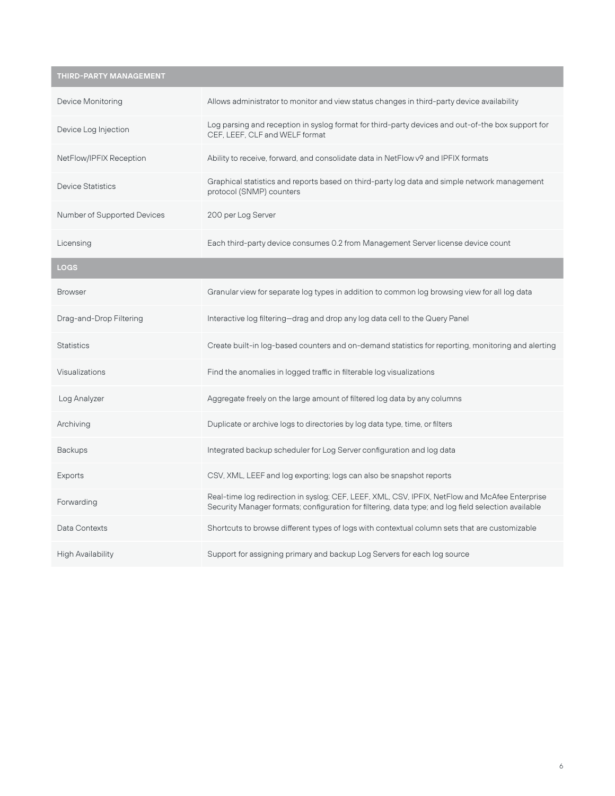# **THIRD-PARTY MANAGEMENT**

| Device Monitoring                  | Allows administrator to monitor and view status changes in third-party device availability                                                                                                            |
|------------------------------------|-------------------------------------------------------------------------------------------------------------------------------------------------------------------------------------------------------|
| Device Log Injection               | Log parsing and reception in syslog format for third-party devices and out-of-the box support for<br>CEF. LEEF. CLF and WELF format                                                                   |
| NetFlow/IPFIX Reception            | Ability to receive, forward, and consolidate data in NetFlow v9 and IPFIX formats                                                                                                                     |
| <b>Device Statistics</b>           | Graphical statistics and reports based on third-party log data and simple network management<br>protocol (SNMP) counters                                                                              |
| <b>Number of Supported Devices</b> | 200 per Log Server                                                                                                                                                                                    |
| Licensing                          | Each third-party device consumes 0.2 from Management Server license device count                                                                                                                      |
| <b>LOGS</b>                        |                                                                                                                                                                                                       |
| <b>Browser</b>                     | Granular view for separate log types in addition to common log browsing view for all log data                                                                                                         |
| Drag-and-Drop Filtering            | Interactive log filtering-drag and drop any log data cell to the Query Panel                                                                                                                          |
| <b>Statistics</b>                  | Create built-in log-based counters and on-demand statistics for reporting, monitoring and alerting                                                                                                    |
| Visualizations                     | Find the anomalies in logged traffic in filterable log visualizations                                                                                                                                 |
| Log Analyzer                       | Aggregate freely on the large amount of filtered log data by any columns                                                                                                                              |
| Archiving                          | Duplicate or archive logs to directories by log data type, time, or filters                                                                                                                           |
| <b>Backups</b>                     | Integrated backup scheduler for Log Server configuration and log data                                                                                                                                 |
| Exports                            | CSV, XML, LEEF and log exporting; logs can also be snapshot reports                                                                                                                                   |
| Forwarding                         | Real-time log redirection in syslog; CEF, LEEF, XML, CSV, IPFIX, NetFlow and McAfee Enterprise<br>Security Manager formats; configuration for filtering, data type; and log field selection available |
| Data Contexts                      | Shortcuts to browse different types of logs with contextual column sets that are customizable                                                                                                         |
| <b>High Availability</b>           | Support for assigning primary and backup Log Servers for each log source                                                                                                                              |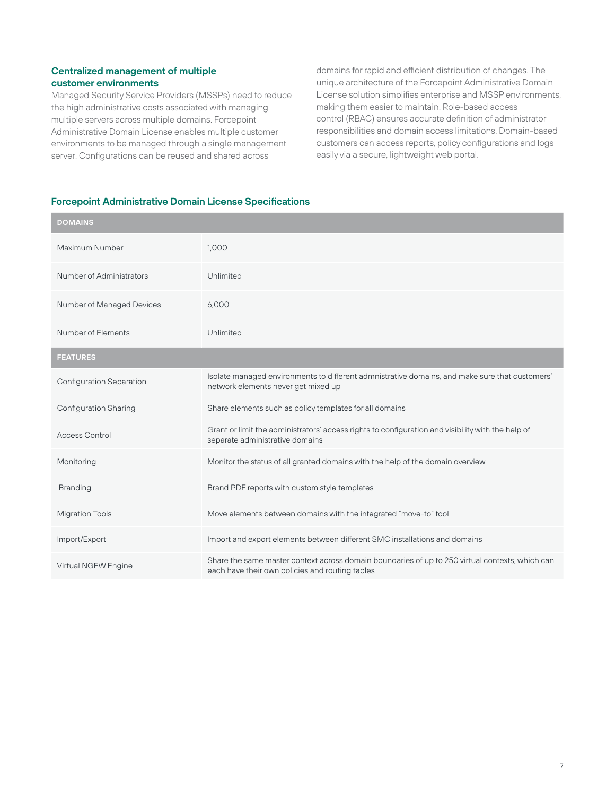#### **Centralized management of multiple customer environments**

Managed Security Service Providers (MSSPs) need to reduce the high administrative costs associated with managing multiple servers across multiple domains. Forcepoint Administrative Domain License enables multiple customer environments to be managed through a single management server. Configurations can be reused and shared across

domains for rapid and efficient distribution of changes. The unique architecture of the Forcepoint Administrative Domain License solution simplifies enterprise and MSSP environments, making them easier to maintain. Role-based access control (RBAC) ensures accurate definition of administrator responsibilities and domain access limitations. Domain-based customers can access reports, policy configurations and logs easily via a secure, lightweight web portal.

#### **Forcepoint Administrative Domain License Specifications**

| <b>DOMAINS</b>                  |                                                                                                                                                    |
|---------------------------------|----------------------------------------------------------------------------------------------------------------------------------------------------|
| Maximum Number                  | 1,000                                                                                                                                              |
| <b>Number of Administrators</b> | Unlimited                                                                                                                                          |
| Number of Managed Devices       | 6.000                                                                                                                                              |
| Number of Elements              | Unlimited                                                                                                                                          |
| <b>FEATURES</b>                 |                                                                                                                                                    |
| <b>Configuration Separation</b> | Isolate managed environments to different admnistrative domains, and make sure that customers'<br>network elements never get mixed up              |
| <b>Configuration Sharing</b>    | Share elements such as policy templates for all domains                                                                                            |
| <b>Access Control</b>           | Grant or limit the administrators' access rights to configuration and visibility with the help of<br>separate administrative domains               |
| Monitoring                      | Monitor the status of all granted domains with the help of the domain overview                                                                     |
| <b>Branding</b>                 | Brand PDF reports with custom style templates                                                                                                      |
| <b>Migration Tools</b>          | Move elements between domains with the integrated "move-to" tool                                                                                   |
| Import/Export                   | Import and export elements between different SMC installations and domains                                                                         |
| Virtual NGFW Engine             | Share the same master context across domain boundaries of up to 250 virtual contexts, which can<br>each have their own policies and routing tables |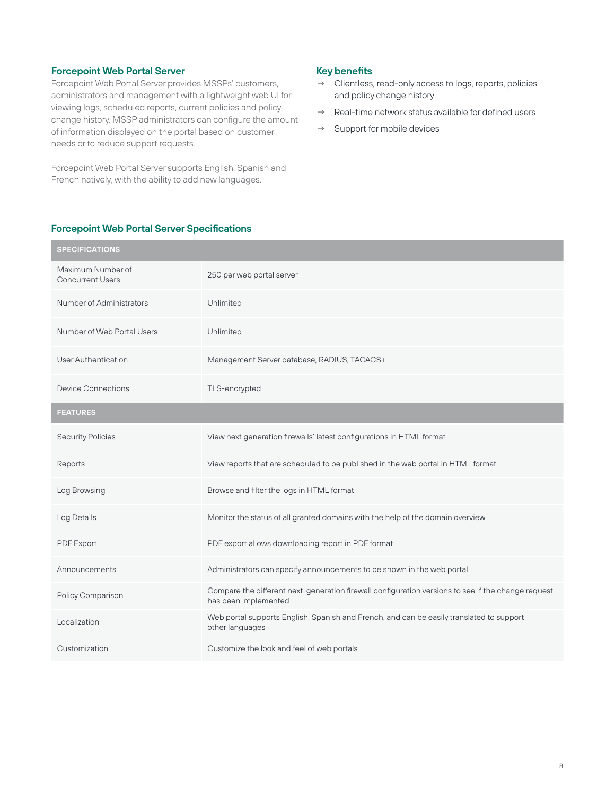#### **Forcepoint Web Portal Server**

Forcepoint Web Portal Server provides MSSPs' customers, administrators and management with a lightweight web UI for viewing logs, scheduled reports, current policies and policy change history. MSSP administrators can configure the amount of information displayed on the portal based on customer needs or to reduce support requests.

Forcepoint Web Portal Server supports English, Spanish and French natively, with the ability to add new languages.

#### **Key benefits**

- → Clientless, read-only access to logs, reports, policies and policy change history
- $\rightarrow$  Real-time network status available for defined users
- → Support for mobile devices

| <b>SPECIFICATIONS</b>                        |                                                                                                                            |
|----------------------------------------------|----------------------------------------------------------------------------------------------------------------------------|
| Maximum Number of<br><b>Concurrent Users</b> | 250 per web portal server                                                                                                  |
| <b>Number of Administrators</b>              | Unlimited                                                                                                                  |
| Number of Web Portal Users                   | Unlimited                                                                                                                  |
| <b>User Authentication</b>                   | Management Server database, RADIUS, TACACS+                                                                                |
| Device Connections                           | TLS-encrypted                                                                                                              |
| <b>FEATURES</b>                              |                                                                                                                            |
| <b>Security Policies</b>                     | View next generation firewalls' latest configurations in HTML format                                                       |
| Reports                                      | View reports that are scheduled to be published in the web portal in HTML format                                           |
| Log Browsing                                 | Browse and filter the logs in HTML format                                                                                  |
| Log Details                                  | Monitor the status of all granted domains with the help of the domain overview                                             |
| PDF Export                                   | PDF export allows downloading report in PDF format                                                                         |
| Announcements                                | Administrators can specify announcements to be shown in the web portal                                                     |
| Policy Comparison                            | Compare the different next-generation firewall configuration versions to see if the change request<br>has been implemented |
| Localization                                 | Web portal supports English, Spanish and French, and can be easily translated to support<br>other languages                |
| Customization                                | Customize the look and feel of web portals                                                                                 |

#### **Forcepoint Web Portal Server Specifications**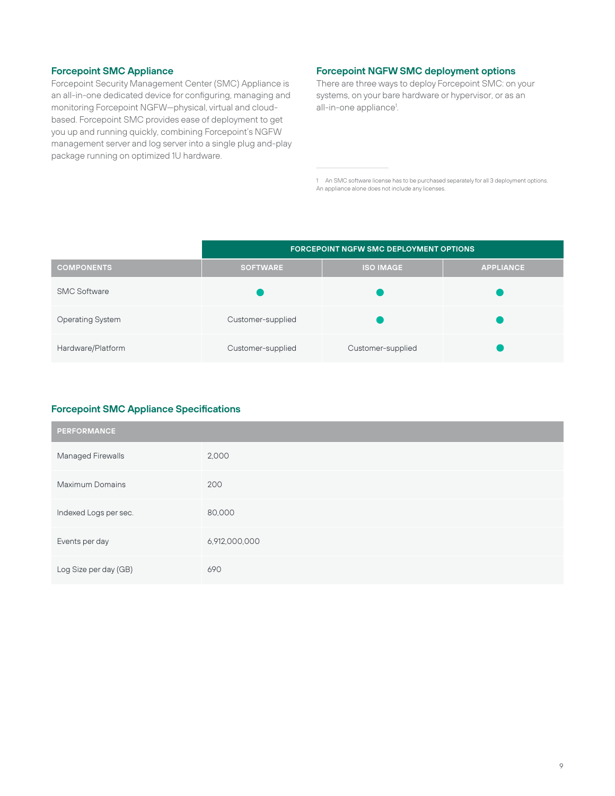#### **Forcepoint SMC Appliance**

Forcepoint Security Management Center (SMC) Appliance is an all-in-one dedicated device for configuring, managing and monitoring Forcepoint NGFW—physical, virtual and cloudbased. Forcepoint SMC provides ease of deployment to get you up and running quickly, combining Forcepoint's NGFW management server and log server into a single plug and-play package running on optimized 1U hardware.

#### **Forcepoint NGFW SMC deployment options**

There are three ways to deploy Forcepoint SMC: on your systems, on your bare hardware or hypervisor, or as an all-in-one appliance<sup>1</sup>.

1 An SMC software license has to be purchased separately for all 3 deployment options. An appliance alone does not include any licenses.

|                         | <b>FORCEPOINT NGFW SMC DEPLOYMENT OPTIONS</b> |                   |                  |
|-------------------------|-----------------------------------------------|-------------------|------------------|
| <b>COMPONENTS</b>       | <b>SOFTWARE</b>                               | <b>ISO IMAGE</b>  | <b>APPLIANCE</b> |
| <b>SMC Software</b>     |                                               |                   |                  |
| <b>Operating System</b> | Customer-supplied                             |                   |                  |
| Hardware/Platform       | Customer-supplied                             | Customer-supplied |                  |

#### **Forcepoint SMC Appliance Specifications**

| <b>PERFORMANCE</b>       |               |  |
|--------------------------|---------------|--|
| <b>Managed Firewalls</b> | 2,000         |  |
| <b>Maximum Domains</b>   | 200           |  |
| Indexed Logs per sec.    | 80,000        |  |
| Events per day           | 6,912,000,000 |  |
| Log Size per day (GB)    | 690           |  |